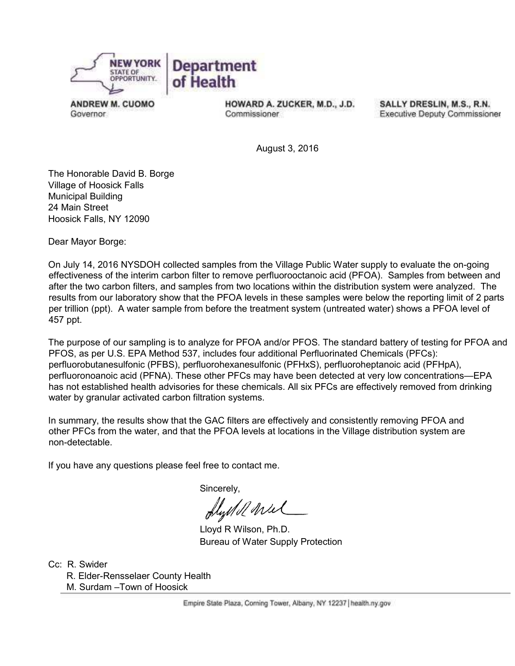

**ANDREW M. CUOMO** Governor.

HOWARD A. ZUCKER, M.D., J.D. Commissioner

SALLY DRESLIN, M.S., R.N. **Executive Deputy Commissioner** 

August 3, 2016

The Honorable David B. Borge Village of Hoosick Falls Municipal Building 24 Main Street Hoosick Falls, NY 12090

Dear Mayor Borge:

On July 14, 2016 NYSDOH collected samples from the Village Public Water supply to evaluate the on-going effectiveness of the interim carbon filter to remove perfluorooctanoic acid (PFOA). Samples from between and after the two carbon filters, and samples from two locations within the distribution system were analyzed. The results from our laboratory show that the PFOA levels in these samples were below the reporting limit of 2 parts per trillion (ppt). A water sample from before the treatment system (untreated water) shows a PFOA level of 457 ppt.

The purpose of our sampling is to analyze for PFOA and/or PFOS. The standard battery of testing for PFOA and PFOS, as per U.S. EPA Method 537, includes four additional Perfluorinated Chemicals (PFCs): perfluorobutanesulfonic (PFBS), perfluorohexanesulfonic (PFHxS), perfluoroheptanoic acid (PFHpA), perfluoronoanoic acid (PFNA). These other PFCs may have been detected at very low concentrations—EPA has not established health advisories for these chemicals. All six PFCs are effectively removed from drinking water by granular activated carbon filtration systems.

In summary, the results show that the GAC filters are effectively and consistently removing PFOA and other PFCs from the water, and that the PFOA levels at locations in the Village distribution system are non-detectable.

If you have any questions please feel free to contact me.

Sincerely,

flystell wiel

 Lloyd R Wilson, Ph.D. Bureau of Water Supply Protection

Cc: R. Swider R. Elder-Rensselaer County Health M. Surdam –Town of Hoosick